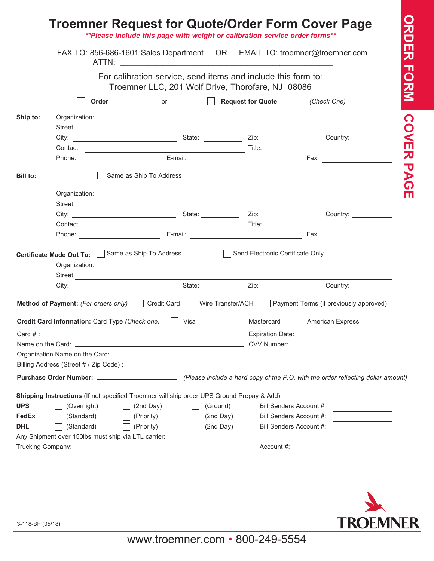|                                                        |                                                                                           |                                                                                                                    |                                                                                                                                                                                                                                      | ** Please include this page with weight or calibration service order forms**                                                                                                                                                        |
|--------------------------------------------------------|-------------------------------------------------------------------------------------------|--------------------------------------------------------------------------------------------------------------------|--------------------------------------------------------------------------------------------------------------------------------------------------------------------------------------------------------------------------------------|-------------------------------------------------------------------------------------------------------------------------------------------------------------------------------------------------------------------------------------|
|                                                        |                                                                                           | FAX TO: 856-686-1601 Sales Department OR EMAIL TO: troemner@troemner.com                                           |                                                                                                                                                                                                                                      |                                                                                                                                                                                                                                     |
|                                                        |                                                                                           | For calibration service, send items and include this form to:<br>Troemner LLC, 201 Wolf Drive, Thorofare, NJ 08086 |                                                                                                                                                                                                                                      |                                                                                                                                                                                                                                     |
|                                                        | Order                                                                                     | <b>or</b>                                                                                                          | Request for Quote (Check One)                                                                                                                                                                                                        |                                                                                                                                                                                                                                     |
| Ship to:                                               |                                                                                           |                                                                                                                    |                                                                                                                                                                                                                                      | Street: <u>The Communication of the Communication</u> of the Communication of the Communication of the Communication of the Communication of the Communication of the Communication of the Communication of the Communication of th |
|                                                        |                                                                                           |                                                                                                                    |                                                                                                                                                                                                                                      |                                                                                                                                                                                                                                     |
|                                                        |                                                                                           |                                                                                                                    |                                                                                                                                                                                                                                      |                                                                                                                                                                                                                                     |
|                                                        |                                                                                           |                                                                                                                    |                                                                                                                                                                                                                                      |                                                                                                                                                                                                                                     |
| Bill to:                                               |                                                                                           | Same as Ship To Address                                                                                            |                                                                                                                                                                                                                                      |                                                                                                                                                                                                                                     |
|                                                        |                                                                                           |                                                                                                                    |                                                                                                                                                                                                                                      |                                                                                                                                                                                                                                     |
|                                                        |                                                                                           |                                                                                                                    |                                                                                                                                                                                                                                      |                                                                                                                                                                                                                                     |
|                                                        |                                                                                           |                                                                                                                    |                                                                                                                                                                                                                                      |                                                                                                                                                                                                                                     |
|                                                        |                                                                                           |                                                                                                                    |                                                                                                                                                                                                                                      |                                                                                                                                                                                                                                     |
|                                                        |                                                                                           |                                                                                                                    |                                                                                                                                                                                                                                      |                                                                                                                                                                                                                                     |
|                                                        | Certificate Made Out To: Same as Ship To Address Send Flectronic Certificate Only         | Street:                                                                                                            |                                                                                                                                                                                                                                      |                                                                                                                                                                                                                                     |
|                                                        |                                                                                           |                                                                                                                    |                                                                                                                                                                                                                                      |                                                                                                                                                                                                                                     |
|                                                        | <b>Credit Card Information:</b> Card Type (Check one)   Visa                              |                                                                                                                    | Mastercard                                                                                                                                                                                                                           | Method of Payment: (For orders only) Credit Card Mire Transfer/ACH Payment Terms (if previously approved)<br><b>American Express</b>                                                                                                |
|                                                        |                                                                                           |                                                                                                                    | Name on the Card: <u>Alexander Card Control Control Control Control Control Control Control Control Control Control Control Control Control Control Control Control Control Control Control Control Control Control Control Cont</u> |                                                                                                                                                                                                                                     |
|                                                        |                                                                                           |                                                                                                                    |                                                                                                                                                                                                                                      |                                                                                                                                                                                                                                     |
|                                                        |                                                                                           |                                                                                                                    |                                                                                                                                                                                                                                      |                                                                                                                                                                                                                                     |
|                                                        |                                                                                           |                                                                                                                    |                                                                                                                                                                                                                                      |                                                                                                                                                                                                                                     |
|                                                        |                                                                                           |                                                                                                                    |                                                                                                                                                                                                                                      |                                                                                                                                                                                                                                     |
|                                                        |                                                                                           |                                                                                                                    |                                                                                                                                                                                                                                      |                                                                                                                                                                                                                                     |
|                                                        | Shipping Instructions (If not specified Troemner will ship order UPS Ground Prepay & Add) |                                                                                                                    |                                                                                                                                                                                                                                      |                                                                                                                                                                                                                                     |
|                                                        | (Overnight)                                                                               | (2nd Day)<br>(Ground)                                                                                              | Bill Senders Account #:                                                                                                                                                                                                              |                                                                                                                                                                                                                                     |
|                                                        | (Standard)                                                                                | (2nd Day)<br>(Priority)                                                                                            | Bill Senders Account #:                                                                                                                                                                                                              |                                                                                                                                                                                                                                     |
|                                                        | (Standard)                                                                                | (Priority)<br>(2nd Day)                                                                                            | Bill Senders Account #:                                                                                                                                                                                                              |                                                                                                                                                                                                                                     |
| <b>UPS</b><br>FedEx<br><b>DHL</b><br>Trucking Company: | Any Shipment over 150lbs must ship via LTL carrier:                                       |                                                                                                                    |                                                                                                                                                                                                                                      |                                                                                                                                                                                                                                     |